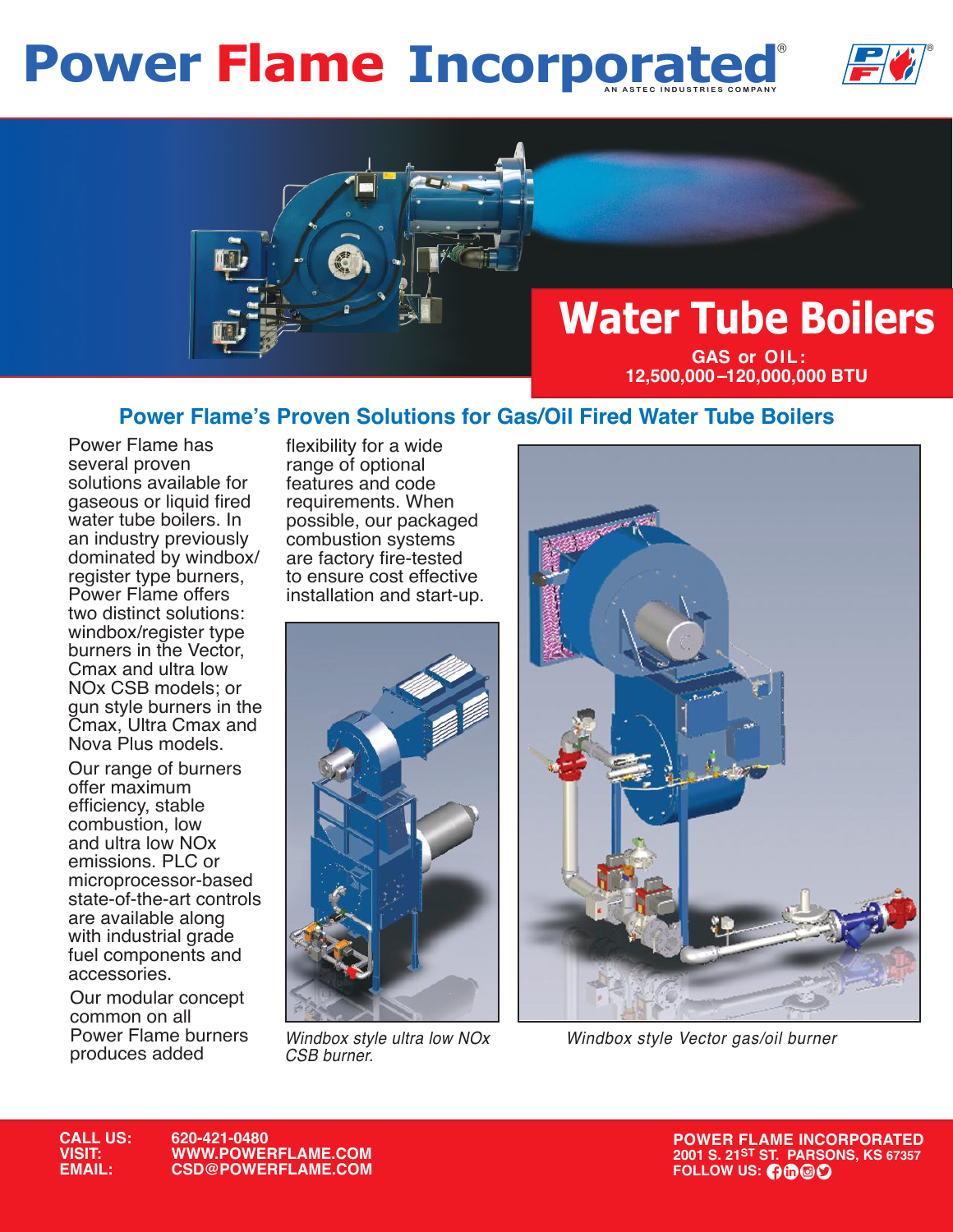## **Power Flame Incorporated**





### **Power Flame's Proven Solutions for Gas/Oil Fired Water Tube Boilers**

Power Flame has several proven solutions available for gaseous or liquid fired water tube boilers. In an industry previously dominated by windbox/ register type burners, Power Flame offers two distinct solutions: windbox/register type burners in the Vector, Cmax and ultra low NOx CSB models; or gun style burners in the Cmax, Ultra Cmax and Nova Plus models.

Our range of burners offer maximum efficiency, stable combustion, low and ultra low NOx emissions. PLC or microprocessor-based state-of-the-art controls are available along with industrial grade fuel components and accessories.

Our modular concept common on all Power Flame burners produces added

flexibility for a wide range of optional features and code requirements. When possible, our packaged combustion systems are factory fire-tested to ensure cost effective installation and start-up.



*Windbox style ultra low NOx* 



*CSB burner. Windbox style Vector gas/oil burner*

**POWER FLAME INCORPORATED POWER FLAME INCORPORATED 2001 S. 21<sup>ST</sup> ST. PARSONS, KS 67357**<br>**FOLLOW US: 0000**